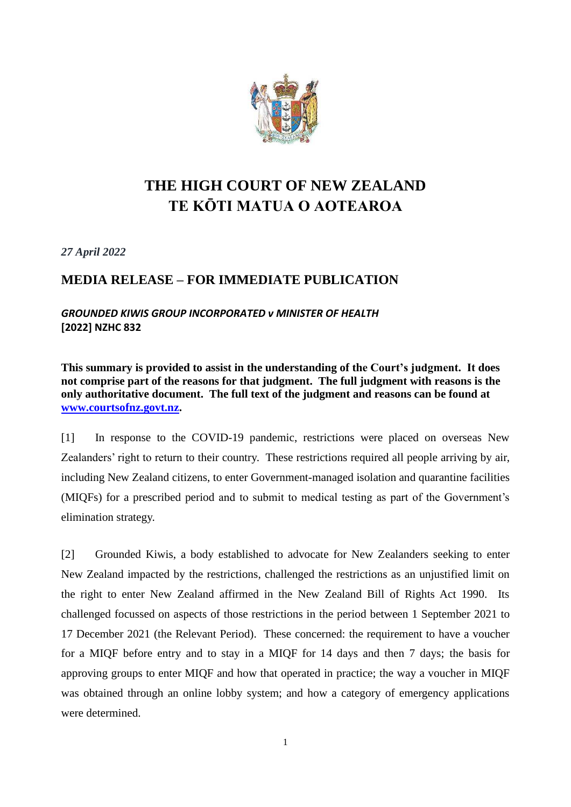

## **THE HIGH COURT OF NEW ZEALAND TE KŌTI MATUA O AOTEAROA**

*27 April 2022*

## **MEDIA RELEASE – FOR IMMEDIATE PUBLICATION**

*GROUNDED KIWIS GROUP INCORPORATED v MINISTER OF HEALTH* **[2022] NZHC 832**

**This summary is provided to assist in the understanding of the Court's judgment. It does not comprise part of the reasons for that judgment. The full judgment with reasons is the only authoritative document. The full text of the judgment and reasons can be found at [www.courtsofnz.govt.nz.](http://www.courtsofnz.govt.nz/)**

[1] In response to the COVID-19 pandemic, restrictions were placed on overseas New Zealanders' right to return to their country. These restrictions required all people arriving by air, including New Zealand citizens, to enter Government-managed isolation and quarantine facilities (MIQFs) for a prescribed period and to submit to medical testing as part of the Government's elimination strategy.

[2] Grounded Kiwis, a body established to advocate for New Zealanders seeking to enter New Zealand impacted by the restrictions, challenged the restrictions as an unjustified limit on the right to enter New Zealand affirmed in the New Zealand Bill of Rights Act 1990. Its challenged focussed on aspects of those restrictions in the period between 1 September 2021 to 17 December 2021 (the Relevant Period). These concerned: the requirement to have a voucher for a MIQF before entry and to stay in a MIQF for 14 days and then 7 days; the basis for approving groups to enter MIQF and how that operated in practice; the way a voucher in MIQF was obtained through an online lobby system; and how a category of emergency applications were determined.